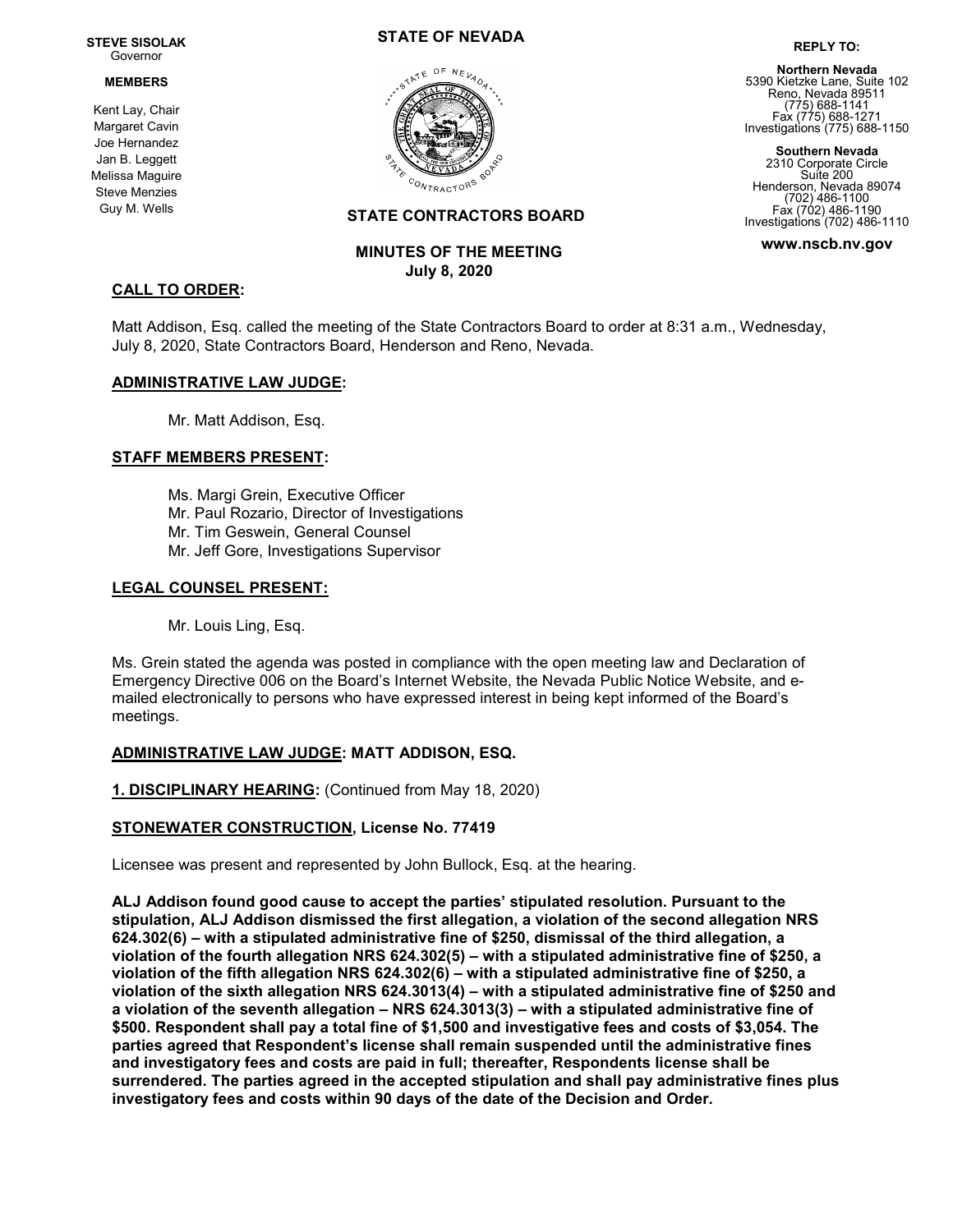#### STEVE SISOLAK Governor

#### MEMBERS

Kent Lay, Chair Margaret Cavin Joe Hernandez Jan B. Leggett Melissa Maguire Steve Menzies Guy M. Wells

### STATE OF NEVADA



# REPLY TO: Northern Nevada

5390 Kietzke Lane, Suite 102 Reno, Nevada 89511 (775) 688-1141 Fax (775) 688-1271 Investigations (775) 688-1150

Southern Nevada 2310 Corporate Circle Suite 200 Henderson, Nevada 89074 (702) 486-1100 Fax (702) 486-1190 Investigations (702) 486-1110

www.nscb.nv.gov

## CALL TO ORDER:

Matt Addison, Esq. called the meeting of the State Contractors Board to order at 8:31 a.m., Wednesday, July 8, 2020, State Contractors Board, Henderson and Reno, Nevada.

STATE CONTRACTORS BOARD

 MINUTES OF THE MEETING July 8, 2020

### ADMINISTRATIVE LAW JUDGE:

Mr. Matt Addison, Esq.

### STAFF MEMBERS PRESENT:

Ms. Margi Grein, Executive Officer Mr. Paul Rozario, Director of Investigations Mr. Tim Geswein, General Counsel Mr. Jeff Gore, Investigations Supervisor

### LEGAL COUNSEL PRESENT:

Mr. Louis Ling, Esq.

Ms. Grein stated the agenda was posted in compliance with the open meeting law and Declaration of Emergency Directive 006 on the Board's Internet Website, the Nevada Public Notice Website, and emailed electronically to persons who have expressed interest in being kept informed of the Board's meetings.

### ADMINISTRATIVE LAW JUDGE: MATT ADDISON, ESQ.

1. DISCIPLINARY HEARING: (Continued from May 18, 2020)

### STONEWATER CONSTRUCTION, License No. 77419

Licensee was present and represented by John Bullock, Esq. at the hearing.

ALJ Addison found good cause to accept the parties' stipulated resolution. Pursuant to the stipulation, ALJ Addison dismissed the first allegation, a violation of the second allegation NRS 624.302(6) – with a stipulated administrative fine of \$250, dismissal of the third allegation, a violation of the fourth allegation NRS 624.302(5) – with a stipulated administrative fine of \$250, a violation of the fifth allegation NRS 624.302(6) – with a stipulated administrative fine of \$250, a violation of the sixth allegation NRS 624.3013(4) – with a stipulated administrative fine of \$250 and a violation of the seventh allegation – NRS 624.3013(3) – with a stipulated administrative fine of \$500. Respondent shall pay a total fine of \$1,500 and investigative fees and costs of \$3,054. The parties agreed that Respondent's license shall remain suspended until the administrative fines and investigatory fees and costs are paid in full; thereafter, Respondents license shall be surrendered. The parties agreed in the accepted stipulation and shall pay administrative fines plus investigatory fees and costs within 90 days of the date of the Decision and Order.